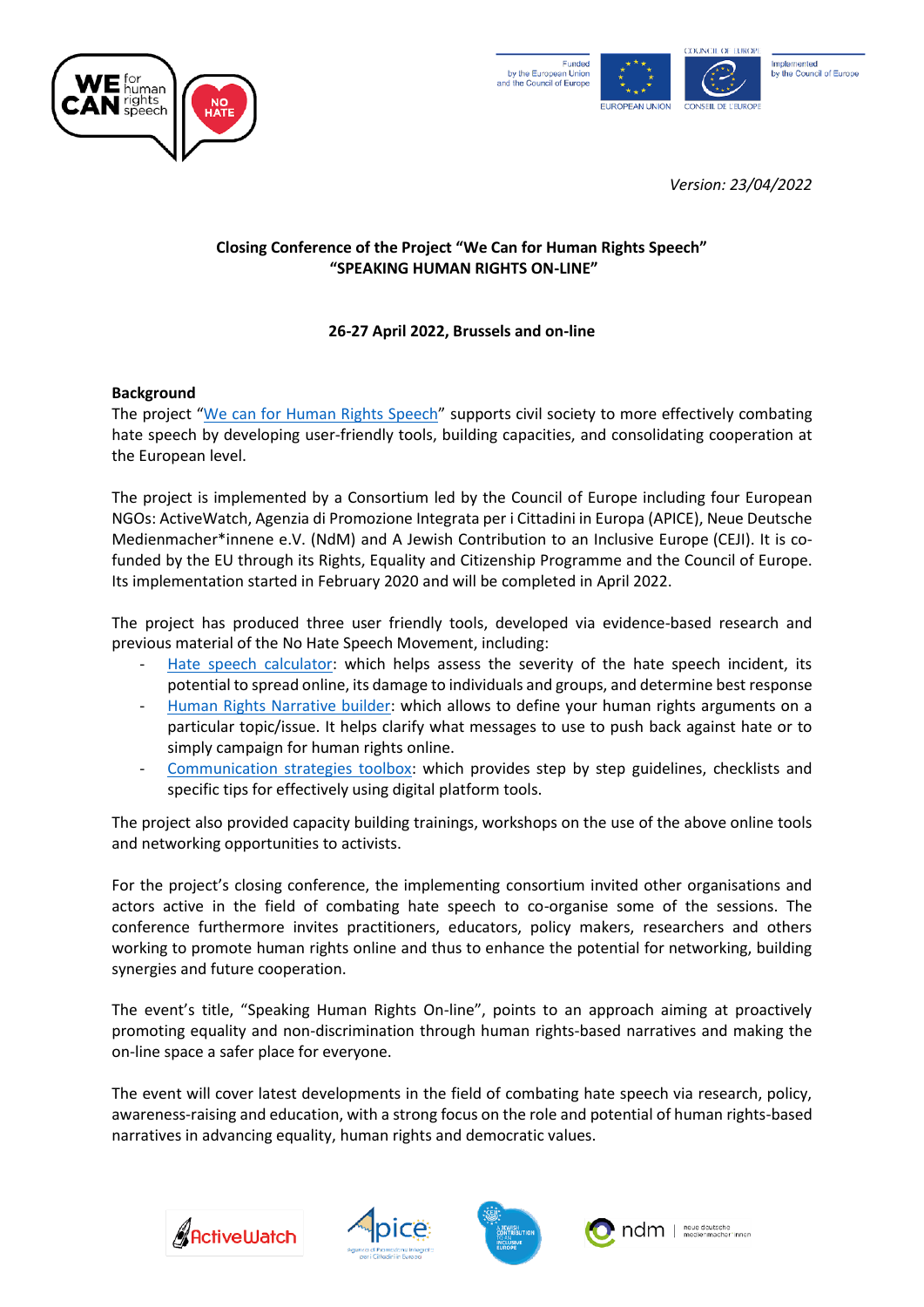



*Version: 23/04/2022*

# **Closing Conference of the Project "We Can for Human Rights Speech" "SPEAKING HUMAN RIGHTS ON-LINE"**

# **26-27 April 2022, Brussels and on-line**

#### **Background**

The project "[We can for Human Rights Speech](https://pjp-eu.coe.int/en/web/human-rights-speech/about)" supports civil society to more effectively combating hate speech by developing user-friendly tools, building capacities, and consolidating cooperation at the European level.

The project is implemented by a Consortium led by the Council of Europe including four European NGOs: ActiveWatch, Agenzia di Promozione Integrata per i Cittadini in Europa (APICE), Neue Deutsche Medienmacher\*innene e.V. (NdM) and A Jewish Contribution to an Inclusive Europe (CEJI). It is cofunded by the EU through its Rights, Equality and Citizenship Programme and the Council of Europe. Its implementation started in February 2020 and will be completed in April 2022.

The project has produced three user friendly tools, developed via evidence-based research and previous material of the No Hate Speech Movement, including:

- [Hate speech calculator:](https://pjp-eu.coe.int/en/web/human-rights-speech/analyse) which helps assess the severity of the hate speech incident, its potential to spread online, its damage to individuals and groups, and determine best response
- [Human Rights Narrative builder:](https://pjp-eu.coe.int/en/web/human-rights-speech/develop) which allows to define your human rights arguments on a particular topic/issue. It helps clarify what messages to use to push back against hate or to simply campaign for human rights online.
- [Communication strategies toolbox:](https://pjp-eu.coe.int/en/web/human-rights-speech/communicate) which provides step by step guidelines, checklists and specific tips for effectively using digital platform tools.

The project also provided capacity building trainings, workshops on the use of the above online tools and networking opportunities to activists.

For the project's closing conference, the implementing consortium invited other organisations and actors active in the field of combating hate speech to co-organise some of the sessions. The conference furthermore invites practitioners, educators, policy makers, researchers and others working to promote human rights online and thus to enhance the potential for networking, building synergies and future cooperation.

The event's title, "Speaking Human Rights On-line", points to an approach aiming at proactively promoting equality and non-discrimination through human rights-based narratives and making the on-line space a safer place for everyone.

The event will cover latest developments in the field of combating hate speech via research, policy, awareness-raising and education, with a strong focus on the role and potential of human rights-based narratives in advancing equality, human rights and democratic values.









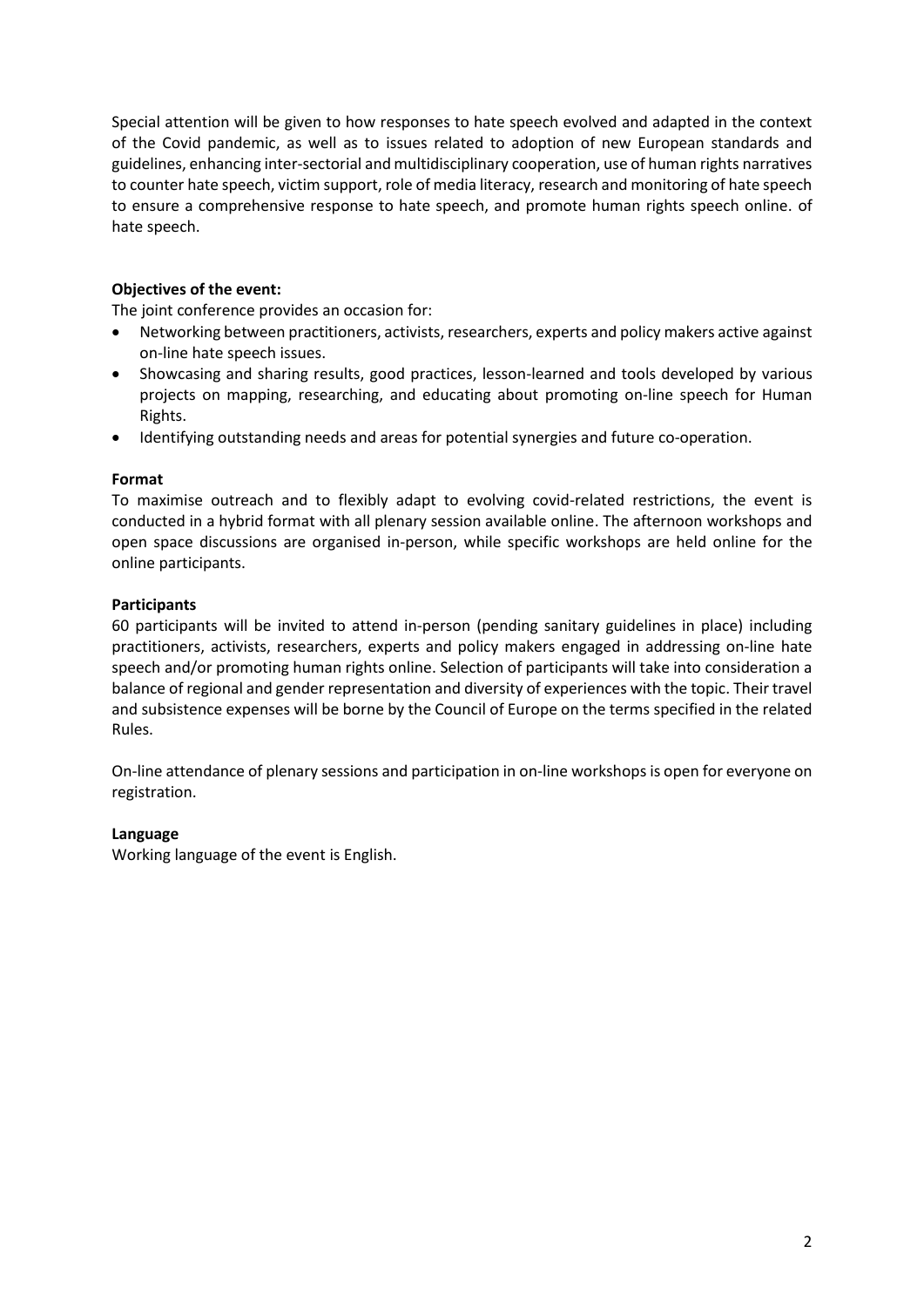Special attention will be given to how responses to hate speech evolved and adapted in the context of the Covid pandemic, as well as to issues related to adoption of new European standards and guidelines, enhancing inter-sectorial and multidisciplinary cooperation, use of human rights narratives to counter hate speech, victim support, role of media literacy, research and monitoring of hate speech to ensure a comprehensive response to hate speech, and promote human rights speech online. of hate speech.

## **Objectives of the event:**

The joint conference provides an occasion for:

- Networking between practitioners, activists, researchers, experts and policy makers active against on-line hate speech issues.
- Showcasing and sharing results, good practices, lesson-learned and tools developed by various projects on mapping, researching, and educating about promoting on-line speech for Human Rights.
- Identifying outstanding needs and areas for potential synergies and future co-operation.

#### **Format**

To maximise outreach and to flexibly adapt to evolving covid-related restrictions, the event is conducted in a hybrid format with all plenary session available online. The afternoon workshops and open space discussions are organised in-person, while specific workshops are held online for the online participants.

#### **Participants**

60 participants will be invited to attend in-person (pending sanitary guidelines in place) including practitioners, activists, researchers, experts and policy makers engaged in addressing on-line hate speech and/or promoting human rights online. Selection of participants will take into consideration a balance of regional and gender representation and diversity of experiences with the topic. Their travel and subsistence expenses will be borne by the Council of Europe on the terms specified in the related Rules.

On-line attendance of plenary sessions and participation in on-line workshops is open for everyone on registration.

#### **Language**

Working language of the event is English.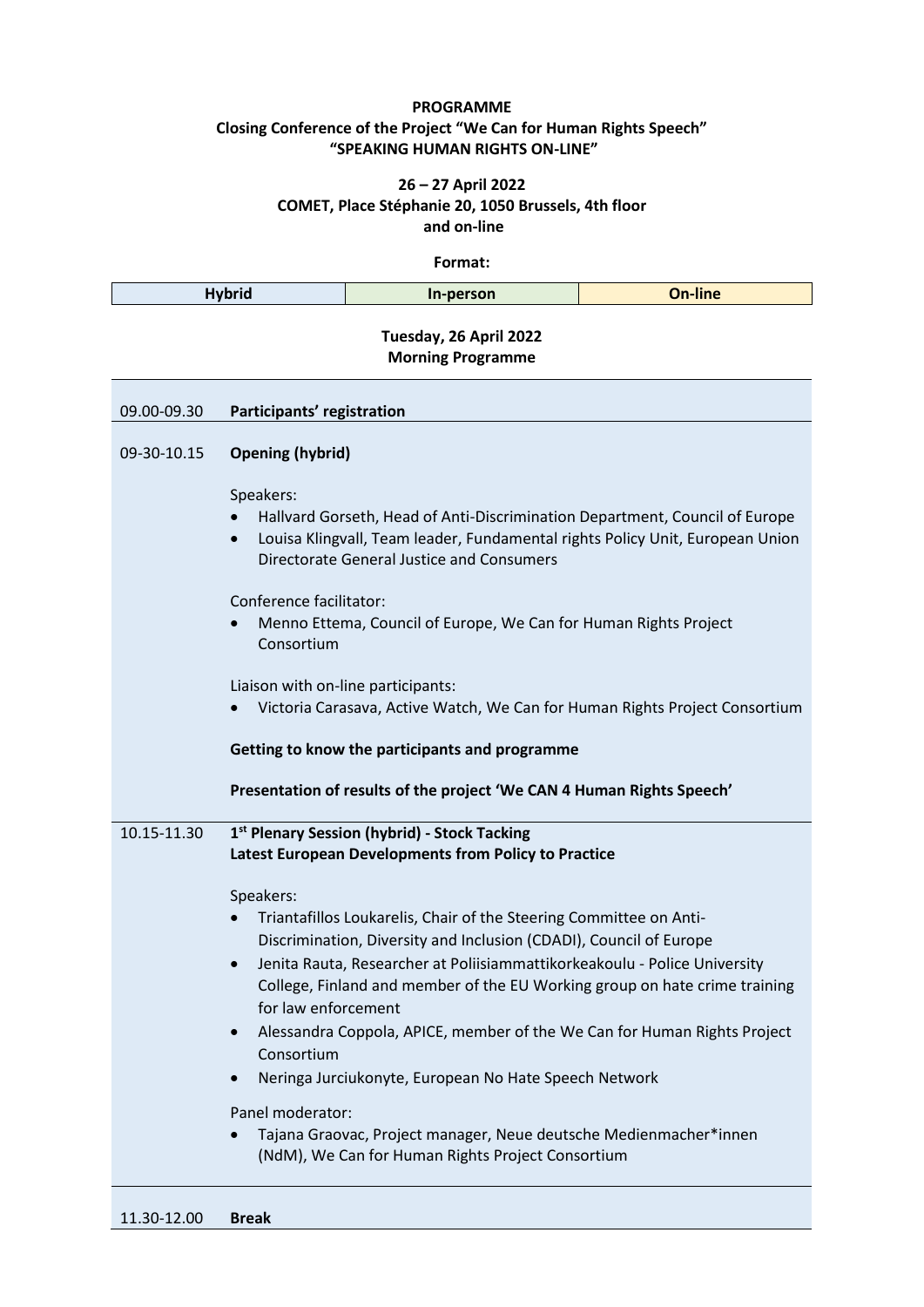## **PROGRAMME Closing Conference of the Project "We Can for Human Rights Speech" "SPEAKING HUMAN RIGHTS ON-LINE"**

#### **26 – 27 April 2022 COMET, Place Stéphanie 20, 1050 Brussels, 4th floor and on-line**

**Format:**

| <b>Hybrid</b> |                                                                                                                                                                                                                                     | In-person                                                                                                                                                                                                                                                                                                                                                                                                                                                                                                                                                          | <b>On-line</b> |  |  |
|---------------|-------------------------------------------------------------------------------------------------------------------------------------------------------------------------------------------------------------------------------------|--------------------------------------------------------------------------------------------------------------------------------------------------------------------------------------------------------------------------------------------------------------------------------------------------------------------------------------------------------------------------------------------------------------------------------------------------------------------------------------------------------------------------------------------------------------------|----------------|--|--|
|               |                                                                                                                                                                                                                                     | Tuesday, 26 April 2022<br><b>Morning Programme</b>                                                                                                                                                                                                                                                                                                                                                                                                                                                                                                                 |                |  |  |
| 09.00-09.30   | Participants' registration                                                                                                                                                                                                          |                                                                                                                                                                                                                                                                                                                                                                                                                                                                                                                                                                    |                |  |  |
| 09-30-10.15   | <b>Opening (hybrid)</b>                                                                                                                                                                                                             |                                                                                                                                                                                                                                                                                                                                                                                                                                                                                                                                                                    |                |  |  |
|               | Speakers:<br>Hallvard Gorseth, Head of Anti-Discrimination Department, Council of Europe<br>Louisa Klingvall, Team leader, Fundamental rights Policy Unit, European Union<br>$\bullet$<br>Directorate General Justice and Consumers |                                                                                                                                                                                                                                                                                                                                                                                                                                                                                                                                                                    |                |  |  |
|               | Conference facilitator:<br>Menno Ettema, Council of Europe, We Can for Human Rights Project<br>Consortium                                                                                                                           |                                                                                                                                                                                                                                                                                                                                                                                                                                                                                                                                                                    |                |  |  |
|               | Liaison with on-line participants:<br>Victoria Carasava, Active Watch, We Can for Human Rights Project Consortium                                                                                                                   |                                                                                                                                                                                                                                                                                                                                                                                                                                                                                                                                                                    |                |  |  |
|               | Getting to know the participants and programme                                                                                                                                                                                      |                                                                                                                                                                                                                                                                                                                                                                                                                                                                                                                                                                    |                |  |  |
|               | Presentation of results of the project 'We CAN 4 Human Rights Speech'                                                                                                                                                               |                                                                                                                                                                                                                                                                                                                                                                                                                                                                                                                                                                    |                |  |  |
| 10.15-11.30   | 1st Plenary Session (hybrid) - Stock Tacking<br>Latest European Developments from Policy to Practice                                                                                                                                |                                                                                                                                                                                                                                                                                                                                                                                                                                                                                                                                                                    |                |  |  |
|               | Speakers:<br>for law enforcement<br>$\bullet$<br>Consortium<br>Panel moderator:                                                                                                                                                     | Triantafillos Loukarelis, Chair of the Steering Committee on Anti-<br>Discrimination, Diversity and Inclusion (CDADI), Council of Europe<br>Jenita Rauta, Researcher at Poliisiammattikorkeakoulu - Police University<br>College, Finland and member of the EU Working group on hate crime training<br>Alessandra Coppola, APICE, member of the We Can for Human Rights Project<br>Neringa Jurciukonyte, European No Hate Speech Network<br>Tajana Graovac, Project manager, Neue deutsche Medienmacher*innen<br>(NdM), We Can for Human Rights Project Consortium |                |  |  |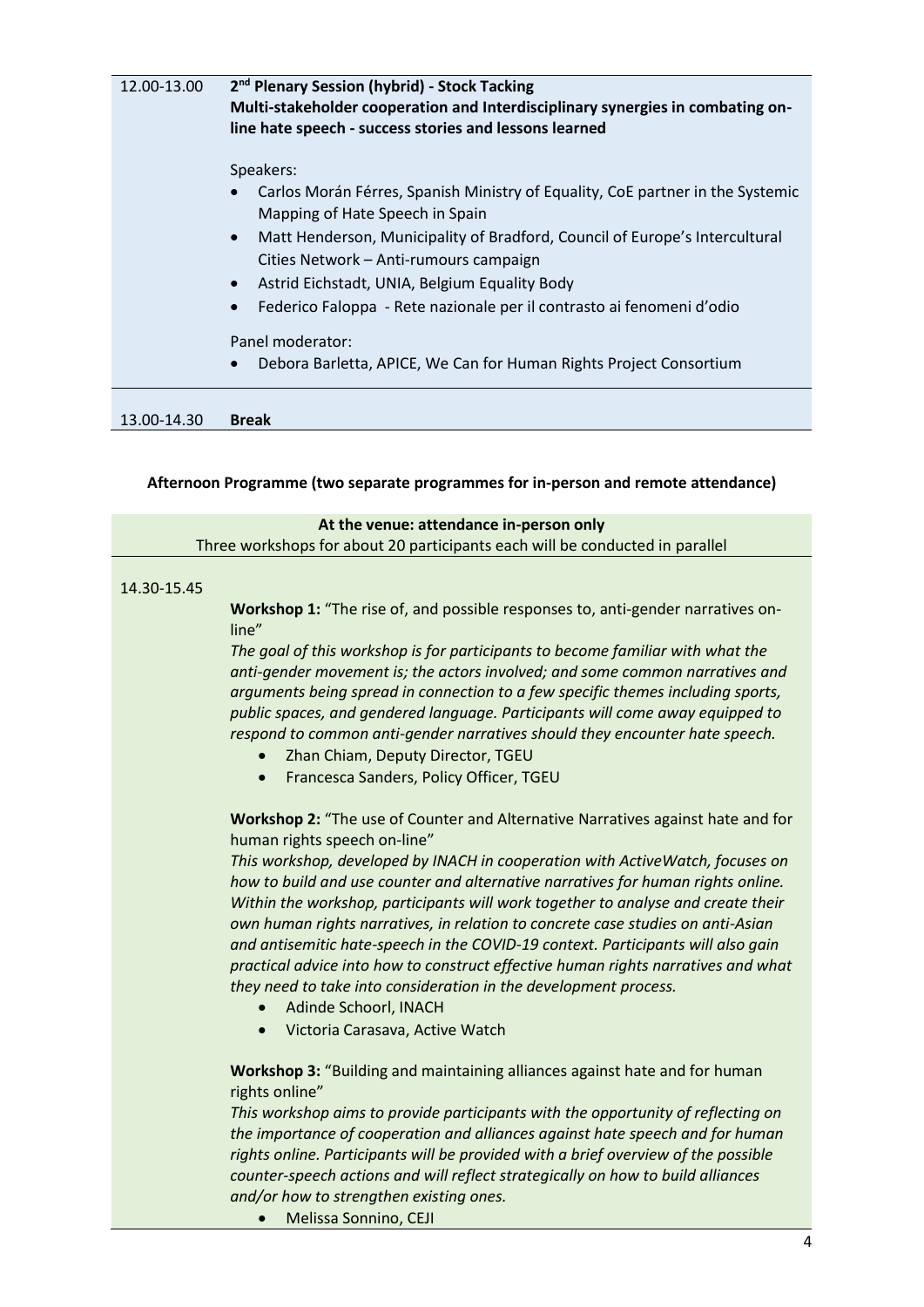| 12.00-13.00 | 2 <sup>nd</sup> Plenary Session (hybrid) - Stock Tacking<br>Multi-stakeholder cooperation and Interdisciplinary synergies in combating on-<br>line hate speech - success stories and lessons learned |  |  |  |
|-------------|------------------------------------------------------------------------------------------------------------------------------------------------------------------------------------------------------|--|--|--|
|             | Speakers:<br>Carlos Morán Férres, Spanish Ministry of Equality, CoE partner in the Systemic                                                                                                          |  |  |  |
|             | Mapping of Hate Speech in Spain                                                                                                                                                                      |  |  |  |
|             | Matt Henderson, Municipality of Bradford, Council of Europe's Intercultural<br>$\bullet$<br>Cities Network - Anti-rumours campaign                                                                   |  |  |  |
|             | Astrid Eichstadt, UNIA, Belgium Equality Body<br>$\bullet$                                                                                                                                           |  |  |  |
|             | Federico Faloppa - Rete nazionale per il contrasto ai fenomeni d'odio<br>$\bullet$                                                                                                                   |  |  |  |
|             | Panel moderator:                                                                                                                                                                                     |  |  |  |
|             | Debora Barletta, APICE, We Can for Human Rights Project Consortium                                                                                                                                   |  |  |  |
| 13.00-14.30 | <b>Break</b>                                                                                                                                                                                         |  |  |  |
|             | Afternoon Programme (two separate programmes for in-person and remote attendance)                                                                                                                    |  |  |  |
|             | At the venue: attendance in-person only                                                                                                                                                              |  |  |  |
|             | Three workshops for about 20 participants each will be conducted in parallel                                                                                                                         |  |  |  |
| 14.30-15.45 |                                                                                                                                                                                                      |  |  |  |
|             | Workshop 1: "The rise of, and possible responses to, anti-gender narratives on-<br>line"                                                                                                             |  |  |  |
|             | The goal of this workshop is for participants to become familiar with what the<br>anti-gender movement is; the actors involved; and some common narratives and                                       |  |  |  |
|             | arguments being spread in connection to a few specific themes including sports,<br>public spaces, and gendered language. Participants will come away equipped to                                     |  |  |  |
|             | respond to common anti-gender narratives should they encounter hate speech.                                                                                                                          |  |  |  |
|             | Zhan Chiam, Deputy Director, TGEU                                                                                                                                                                    |  |  |  |
|             | Francesca Sanders, Policy Officer, TGEU                                                                                                                                                              |  |  |  |

**Workshop 2:** "The use of Counter and Alternative Narratives against hate and for human rights speech on-line"

*This workshop, developed by INACH in cooperation with ActiveWatch, focuses on how to build and use counter and alternative narratives for human rights online. Within the workshop, participants will work together to analyse and create their own human rights narratives, in relation to concrete case studies on anti-Asian and antisemitic hate-speech in the COVID-19 context. Participants will also gain practical advice into how to construct effective human rights narratives and what they need to take into consideration in the development process.*

- Adinde Schoorl, INACH
- Victoria Carasava, Active Watch

**Workshop 3:** "Building and maintaining alliances against hate and for human rights online"

*This workshop aims to provide participants with the opportunity of reflecting on the importance of cooperation and alliances against hate speech and for human rights online. Participants will be provided with a brief overview of the possible counter-speech actions and will reflect strategically on how to build alliances and/or how to strengthen existing ones.*

• Melissa Sonnino, CEJI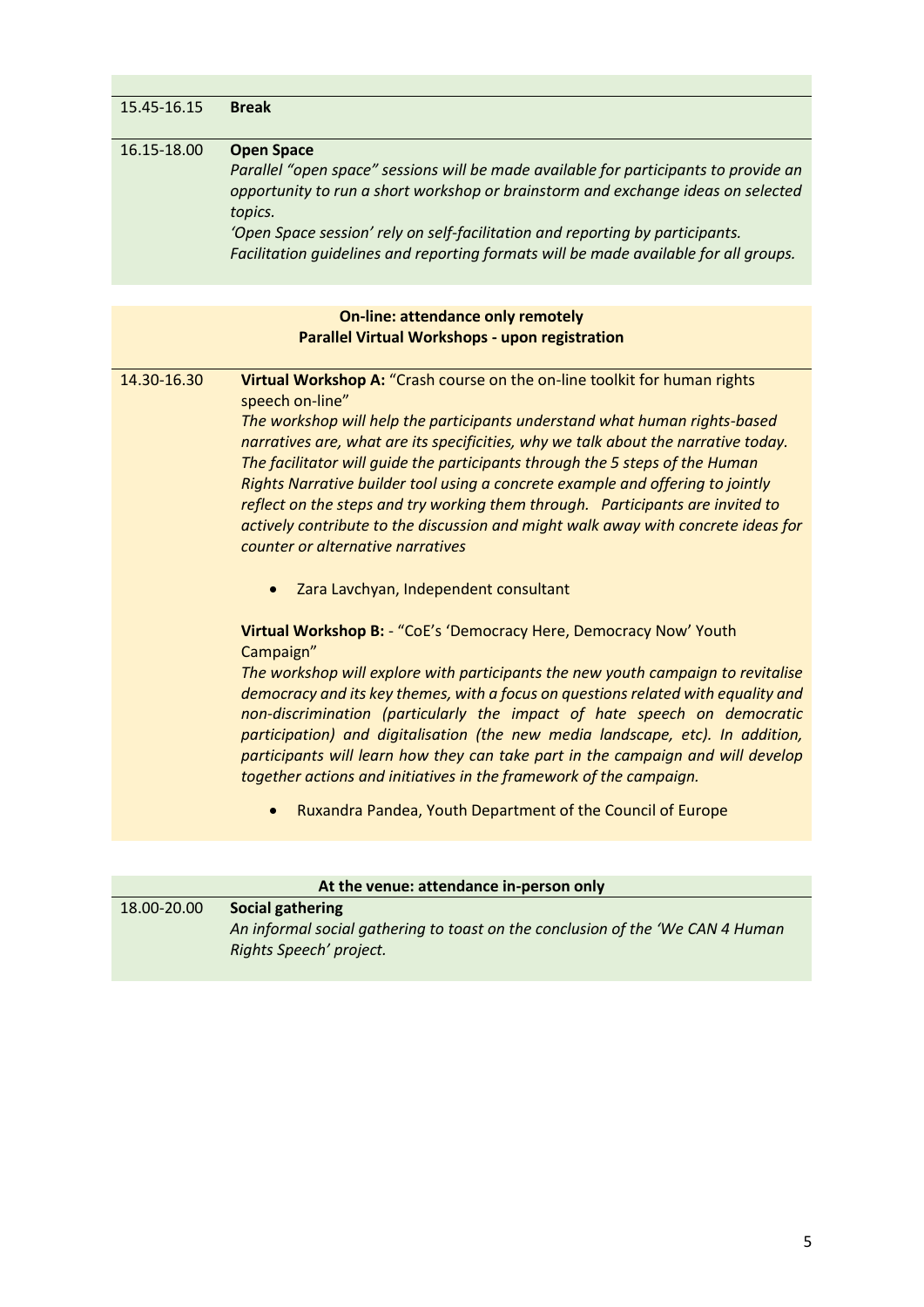| 15.45-16.15 | <b>Break</b>                                                                                                                                                                                                                                                                                                                                                                                                                                                                                                                                                                                                                                                                                                                                                                                                                                                                                                                                                                                                                                                                                                                                                                                                                                                                                                                                          |
|-------------|-------------------------------------------------------------------------------------------------------------------------------------------------------------------------------------------------------------------------------------------------------------------------------------------------------------------------------------------------------------------------------------------------------------------------------------------------------------------------------------------------------------------------------------------------------------------------------------------------------------------------------------------------------------------------------------------------------------------------------------------------------------------------------------------------------------------------------------------------------------------------------------------------------------------------------------------------------------------------------------------------------------------------------------------------------------------------------------------------------------------------------------------------------------------------------------------------------------------------------------------------------------------------------------------------------------------------------------------------------|
| 16.15-18.00 | <b>Open Space</b><br>Parallel "open space" sessions will be made available for participants to provide an<br>opportunity to run a short workshop or brainstorm and exchange ideas on selected<br>topics.<br>'Open Space session' rely on self-facilitation and reporting by participants.<br>Facilitation guidelines and reporting formats will be made available for all groups.                                                                                                                                                                                                                                                                                                                                                                                                                                                                                                                                                                                                                                                                                                                                                                                                                                                                                                                                                                     |
|             |                                                                                                                                                                                                                                                                                                                                                                                                                                                                                                                                                                                                                                                                                                                                                                                                                                                                                                                                                                                                                                                                                                                                                                                                                                                                                                                                                       |
|             | <b>On-line: attendance only remotely</b><br><b>Parallel Virtual Workshops - upon registration</b>                                                                                                                                                                                                                                                                                                                                                                                                                                                                                                                                                                                                                                                                                                                                                                                                                                                                                                                                                                                                                                                                                                                                                                                                                                                     |
| 14.30-16.30 | Virtual Workshop A: "Crash course on the on-line toolkit for human rights<br>speech on-line"<br>The workshop will help the participants understand what human rights-based<br>narratives are, what are its specificities, why we talk about the narrative today.<br>The facilitator will guide the participants through the 5 steps of the Human<br>Rights Narrative builder tool using a concrete example and offering to jointly<br>reflect on the steps and try working them through. Participants are invited to<br>actively contribute to the discussion and might walk away with concrete ideas for<br>counter or alternative narratives<br>Zara Lavchyan, Independent consultant<br>$\bullet$<br>Virtual Workshop B: - "CoE's 'Democracy Here, Democracy Now' Youth<br>Campaign"<br>The workshop will explore with participants the new youth campaign to revitalise<br>democracy and its key themes, with a focus on questions related with equality and<br>non-discrimination (particularly the impact of hate speech on democratic<br>participation) and digitalisation (the new media landscape, etc). In addition,<br>participants will learn how they can take part in the campaign and will develop<br>together actions and initiatives in the framework of the campaign.<br>Ruxandra Pandea, Youth Department of the Council of Europe |
|             |                                                                                                                                                                                                                                                                                                                                                                                                                                                                                                                                                                                                                                                                                                                                                                                                                                                                                                                                                                                                                                                                                                                                                                                                                                                                                                                                                       |
|             | At the venue: attendance in-person only                                                                                                                                                                                                                                                                                                                                                                                                                                                                                                                                                                                                                                                                                                                                                                                                                                                                                                                                                                                                                                                                                                                                                                                                                                                                                                               |
|             |                                                                                                                                                                                                                                                                                                                                                                                                                                                                                                                                                                                                                                                                                                                                                                                                                                                                                                                                                                                                                                                                                                                                                                                                                                                                                                                                                       |
| 18.00-20.00 | <b>Social gathering</b>                                                                                                                                                                                                                                                                                                                                                                                                                                                                                                                                                                                                                                                                                                                                                                                                                                                                                                                                                                                                                                                                                                                                                                                                                                                                                                                               |

| At the venue: attendance in-person only |                                                                                 |  |  |
|-----------------------------------------|---------------------------------------------------------------------------------|--|--|
| 18.00-20.00                             | Social gathering                                                                |  |  |
|                                         | An informal social gathering to toast on the conclusion of the 'We CAN 4 Human' |  |  |
|                                         | Rights Speech' project.                                                         |  |  |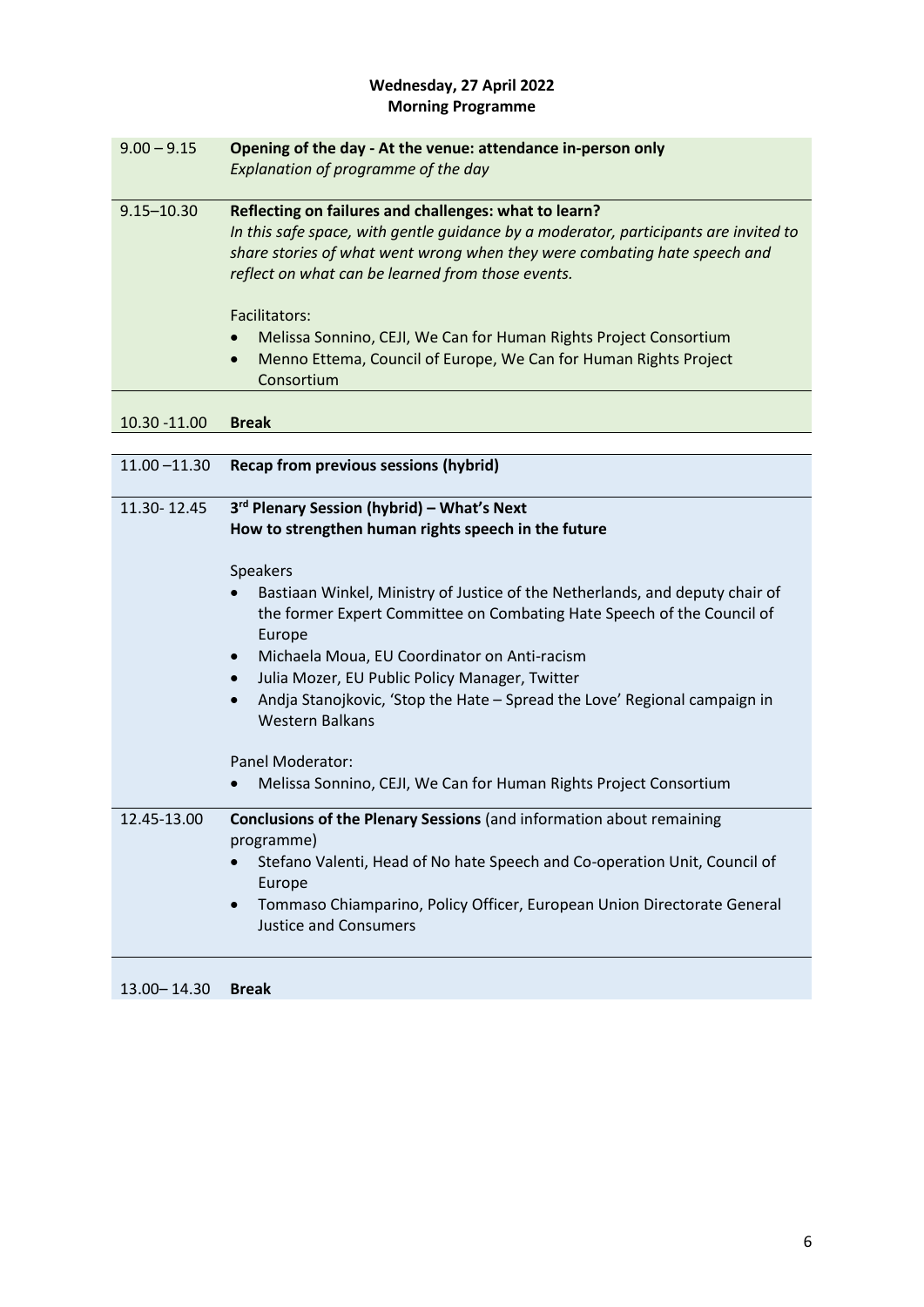# **Wednesday, 27 April 2022 Morning Programme**

| $9.00 - 9.15$   | Opening of the day - At the venue: attendance in-person only                                |  |  |  |
|-----------------|---------------------------------------------------------------------------------------------|--|--|--|
|                 | Explanation of programme of the day                                                         |  |  |  |
| $9.15 - 10.30$  | Reflecting on failures and challenges: what to learn?                                       |  |  |  |
|                 | In this safe space, with gentle guidance by a moderator, participants are invited to        |  |  |  |
|                 | share stories of what went wrong when they were combating hate speech and                   |  |  |  |
|                 | reflect on what can be learned from those events.                                           |  |  |  |
|                 |                                                                                             |  |  |  |
|                 | Facilitators:                                                                               |  |  |  |
|                 | Melissa Sonnino, CEJI, We Can for Human Rights Project Consortium                           |  |  |  |
|                 | Menno Ettema, Council of Europe, We Can for Human Rights Project<br>$\bullet$<br>Consortium |  |  |  |
|                 |                                                                                             |  |  |  |
| 10.30 -11.00    | <b>Break</b>                                                                                |  |  |  |
|                 |                                                                                             |  |  |  |
| $11.00 - 11.30$ | Recap from previous sessions (hybrid)                                                       |  |  |  |
|                 |                                                                                             |  |  |  |
| 11.30-12.45     | 3 <sup>rd</sup> Plenary Session (hybrid) - What's Next                                      |  |  |  |
|                 | How to strengthen human rights speech in the future                                         |  |  |  |
|                 | Speakers                                                                                    |  |  |  |
|                 | Bastiaan Winkel, Ministry of Justice of the Netherlands, and deputy chair of                |  |  |  |
|                 | the former Expert Committee on Combating Hate Speech of the Council of                      |  |  |  |
|                 | Europe                                                                                      |  |  |  |
|                 | Michaela Moua, EU Coordinator on Anti-racism                                                |  |  |  |
|                 | Julia Mozer, EU Public Policy Manager, Twitter<br>$\bullet$                                 |  |  |  |
|                 | Andja Stanojkovic, 'Stop the Hate - Spread the Love' Regional campaign in                   |  |  |  |
|                 | <b>Western Balkans</b>                                                                      |  |  |  |
|                 |                                                                                             |  |  |  |
|                 | Panel Moderator:                                                                            |  |  |  |
|                 | Melissa Sonnino, CEJI, We Can for Human Rights Project Consortium                           |  |  |  |
| 12.45-13.00     | Conclusions of the Plenary Sessions (and information about remaining                        |  |  |  |
|                 | programme)                                                                                  |  |  |  |
|                 | Stefano Valenti, Head of No hate Speech and Co-operation Unit, Council of                   |  |  |  |
|                 | Europe                                                                                      |  |  |  |
|                 | Tommaso Chiamparino, Policy Officer, European Union Directorate General<br>$\bullet$        |  |  |  |
|                 | <b>Justice and Consumers</b>                                                                |  |  |  |

13.00– 14.30 **Break**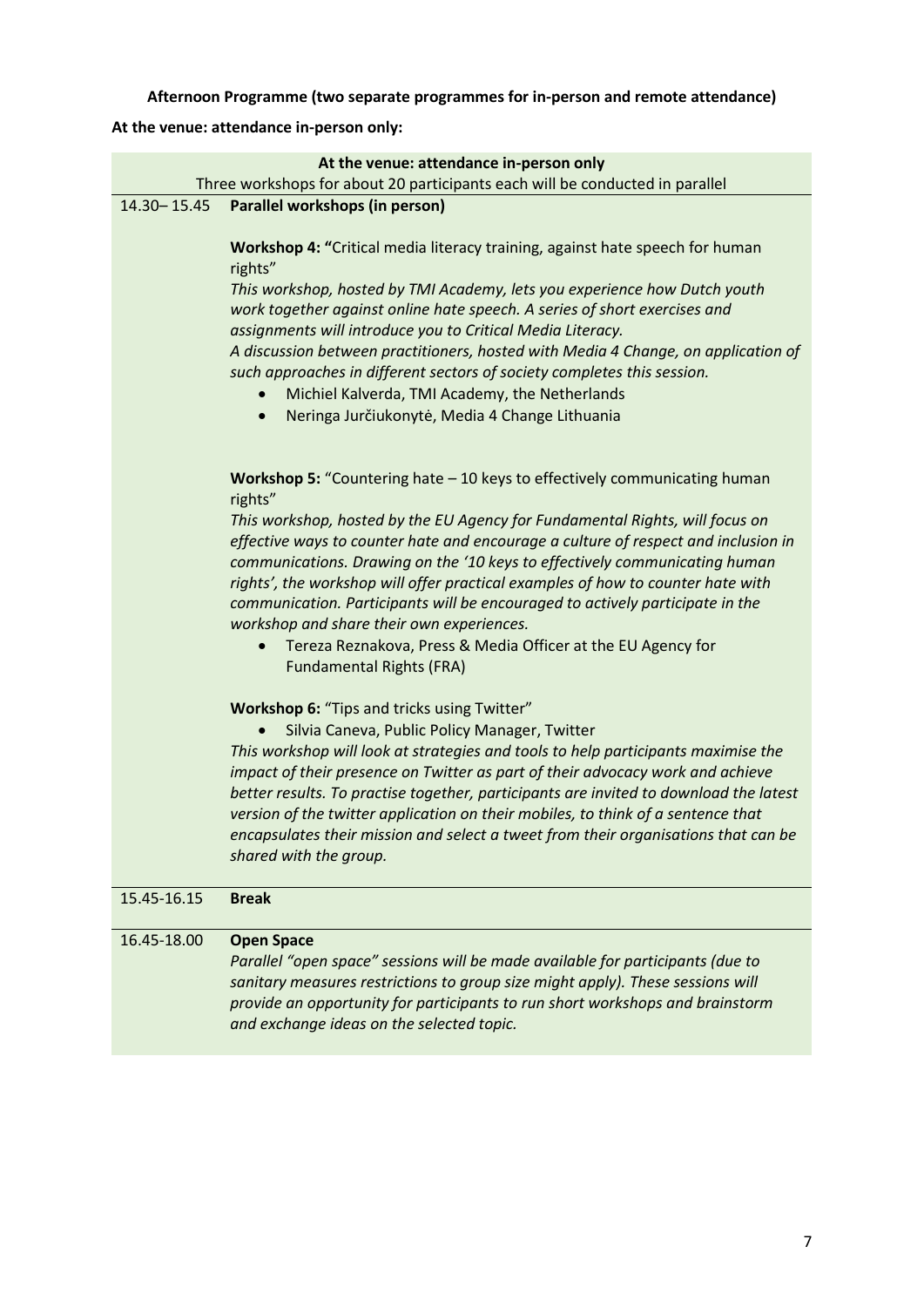**Afternoon Programme (two separate programmes for in-person and remote attendance)**

# **At the venue: attendance in-person only:**

|               | At the venue: attendance in-person only                                                                                                                                                                                                                                                                                                                                                                                                                                                                                                                                           |
|---------------|-----------------------------------------------------------------------------------------------------------------------------------------------------------------------------------------------------------------------------------------------------------------------------------------------------------------------------------------------------------------------------------------------------------------------------------------------------------------------------------------------------------------------------------------------------------------------------------|
| 14.30 - 15.45 | Three workshops for about 20 participants each will be conducted in parallel                                                                                                                                                                                                                                                                                                                                                                                                                                                                                                      |
|               | Parallel workshops (in person)                                                                                                                                                                                                                                                                                                                                                                                                                                                                                                                                                    |
|               | Workshop 4: "Critical media literacy training, against hate speech for human<br>rights"                                                                                                                                                                                                                                                                                                                                                                                                                                                                                           |
|               | This workshop, hosted by TMI Academy, lets you experience how Dutch youth<br>work together against online hate speech. A series of short exercises and<br>assignments will introduce you to Critical Media Literacy.<br>A discussion between practitioners, hosted with Media 4 Change, on application of<br>such approaches in different sectors of society completes this session.<br>Michiel Kalverda, TMI Academy, the Netherlands<br>$\bullet$<br>Neringa Jurčiukonytė, Media 4 Change Lithuania<br>$\bullet$                                                                |
|               | Workshop 5: "Countering hate - 10 keys to effectively communicating human<br>rights"                                                                                                                                                                                                                                                                                                                                                                                                                                                                                              |
|               | This workshop, hosted by the EU Agency for Fundamental Rights, will focus on<br>effective ways to counter hate and encourage a culture of respect and inclusion in<br>communications. Drawing on the '10 keys to effectively communicating human<br>rights', the workshop will offer practical examples of how to counter hate with<br>communication. Participants will be encouraged to actively participate in the<br>workshop and share their own experiences.<br>Tereza Reznakova, Press & Media Officer at the EU Agency for<br>$\bullet$<br><b>Fundamental Rights (FRA)</b> |
|               | Workshop 6: "Tips and tricks using Twitter"<br>Silvia Caneva, Public Policy Manager, Twitter<br>This workshop will look at strategies and tools to help participants maximise the<br>impact of their presence on Twitter as part of their advocacy work and achieve<br>better results. To practise together, participants are invited to download the latest<br>version of the twitter application on their mobiles, to think of a sentence that<br>encapsulates their mission and select a tweet from their organisations that can be<br>shared with the group.                  |
| 15.45-16.15   | <b>Break</b>                                                                                                                                                                                                                                                                                                                                                                                                                                                                                                                                                                      |
| 16.45-18.00   | <b>Open Space</b><br>Parallel "open space" sessions will be made available for participants (due to<br>sanitary measures restrictions to group size might apply). These sessions will<br>provide an opportunity for participants to run short workshops and brainstorm<br>and exchange ideas on the selected topic.                                                                                                                                                                                                                                                               |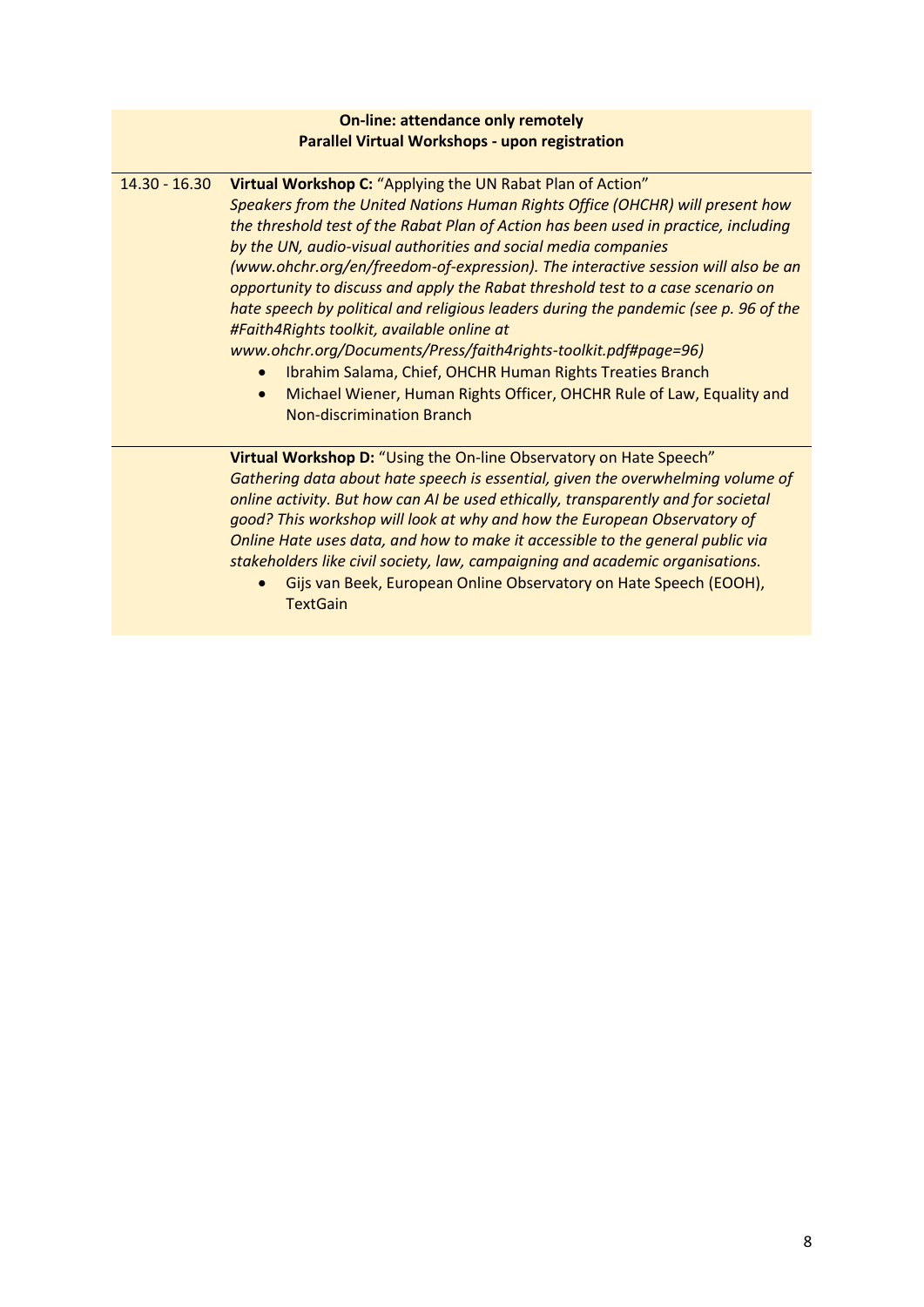#### **On-line: attendance only remotely Parallel Virtual Workshops - upon registration**

| $14.30 - 16.30$ | Virtual Workshop C: "Applying the UN Rabat Plan of Action"<br>Speakers from the United Nations Human Rights Office (OHCHR) will present how<br>the threshold test of the Rabat Plan of Action has been used in practice, including<br>by the UN, audio-visual authorities and social media companies<br>(www.ohchr.org/en/freedom-of-expression). The interactive session will also be an<br>opportunity to discuss and apply the Rabat threshold test to a case scenario on<br>hate speech by political and religious leaders during the pandemic (see p. 96 of the<br>#Faith4Rights toolkit, available online at<br>www.ohchr.org/Documents/Press/faith4rights-toolkit.pdf#page=96)<br>Ibrahim Salama, Chief, OHCHR Human Rights Treaties Branch<br>Michael Wiener, Human Rights Officer, OHCHR Rule of Law, Equality and<br>$\bullet$<br><b>Non-discrimination Branch</b> |
|-----------------|------------------------------------------------------------------------------------------------------------------------------------------------------------------------------------------------------------------------------------------------------------------------------------------------------------------------------------------------------------------------------------------------------------------------------------------------------------------------------------------------------------------------------------------------------------------------------------------------------------------------------------------------------------------------------------------------------------------------------------------------------------------------------------------------------------------------------------------------------------------------------|
|                 | Virtual Workshop D: "Using the On-line Observatory on Hate Speech"<br>Gathering data about hate speech is essential, given the overwhelming volume of<br>online activity. But how can AI be used ethically, transparently and for societal<br>good? This workshop will look at why and how the European Observatory of<br>Online Hate uses data, and how to make it accessible to the general public via<br>stakeholders like civil society, law, campaigning and academic organisations.<br>Gijs van Beek, European Online Observatory on Hate Speech (EOOH),<br><b>TextGain</b>                                                                                                                                                                                                                                                                                            |
|                 |                                                                                                                                                                                                                                                                                                                                                                                                                                                                                                                                                                                                                                                                                                                                                                                                                                                                              |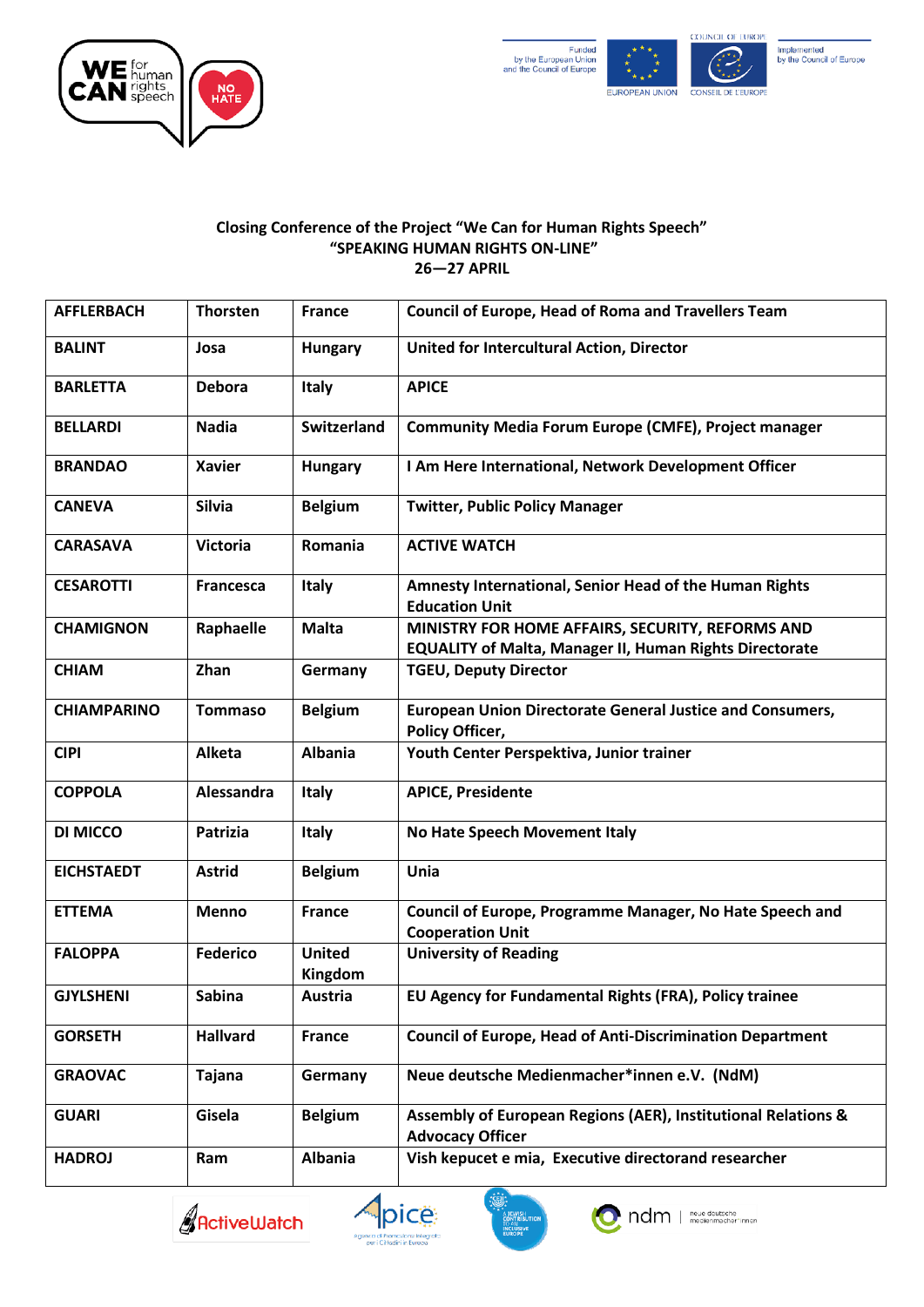



# **Implemented**<br>by the Council of Europe

#### **Closing Conference of the Project "We Can for Human Rights Speech" "SPEAKING HUMAN RIGHTS ON-LINE" 26—27 APRIL**

| <b>AFFLERBACH</b>  | <b>Thorsten</b>  | <b>France</b>            | <b>Council of Europe, Head of Roma and Travellers Team</b>                                                         |
|--------------------|------------------|--------------------------|--------------------------------------------------------------------------------------------------------------------|
| <b>BALINT</b>      | Josa             | <b>Hungary</b>           | United for Intercultural Action, Director                                                                          |
| <b>BARLETTA</b>    | <b>Debora</b>    | <b>Italy</b>             | <b>APICE</b>                                                                                                       |
| <b>BELLARDI</b>    | <b>Nadia</b>     | <b>Switzerland</b>       | <b>Community Media Forum Europe (CMFE), Project manager</b>                                                        |
| <b>BRANDAO</b>     | <b>Xavier</b>    | <b>Hungary</b>           | I Am Here International, Network Development Officer                                                               |
| <b>CANEVA</b>      | <b>Silvia</b>    | <b>Belgium</b>           | <b>Twitter, Public Policy Manager</b>                                                                              |
| <b>CARASAVA</b>    | <b>Victoria</b>  | Romania                  | <b>ACTIVE WATCH</b>                                                                                                |
| <b>CESAROTTI</b>   | <b>Francesca</b> | <b>Italy</b>             | Amnesty International, Senior Head of the Human Rights<br><b>Education Unit</b>                                    |
| <b>CHAMIGNON</b>   | Raphaelle        | <b>Malta</b>             | MINISTRY FOR HOME AFFAIRS, SECURITY, REFORMS AND<br><b>EQUALITY of Malta, Manager II, Human Rights Directorate</b> |
| <b>CHIAM</b>       | Zhan             | Germany                  | <b>TGEU, Deputy Director</b>                                                                                       |
| <b>CHIAMPARINO</b> | <b>Tommaso</b>   | <b>Belgium</b>           | <b>European Union Directorate General Justice and Consumers,</b><br><b>Policy Officer,</b>                         |
| <b>CIPI</b>        | Alketa           | <b>Albania</b>           | Youth Center Perspektiva, Junior trainer                                                                           |
| <b>COPPOLA</b>     | Alessandra       | <b>Italy</b>             | <b>APICE, Presidente</b>                                                                                           |
| DI MICCO           | Patrizia         | <b>Italy</b>             | No Hate Speech Movement Italy                                                                                      |
| <b>EICHSTAEDT</b>  | <b>Astrid</b>    | <b>Belgium</b>           | Unia                                                                                                               |
| <b>ETTEMA</b>      | <b>Menno</b>     | <b>France</b>            | Council of Europe, Programme Manager, No Hate Speech and<br><b>Cooperation Unit</b>                                |
| <b>FALOPPA</b>     | <b>Federico</b>  | <b>United</b><br>Kingdom | <b>University of Reading</b>                                                                                       |
| <b>GJYLSHENI</b>   | <b>Sabina</b>    | <b>Austria</b>           | EU Agency for Fundamental Rights (FRA), Policy trainee                                                             |
| <b>GORSETH</b>     | <b>Hallvard</b>  | <b>France</b>            | <b>Council of Europe, Head of Anti-Discrimination Department</b>                                                   |
| <b>GRAOVAC</b>     | Tajana           | Germany                  | Neue deutsche Medienmacher*innen e.V. (NdM)                                                                        |
| <b>GUARI</b>       | Gisela           | <b>Belgium</b>           | Assembly of European Regions (AER), Institutional Relations &<br><b>Advocacy Officer</b>                           |
| <b>HADROJ</b>      | Ram              | <b>Albania</b>           | Vish kepucet e mia, Executive directorand researcher                                                               |





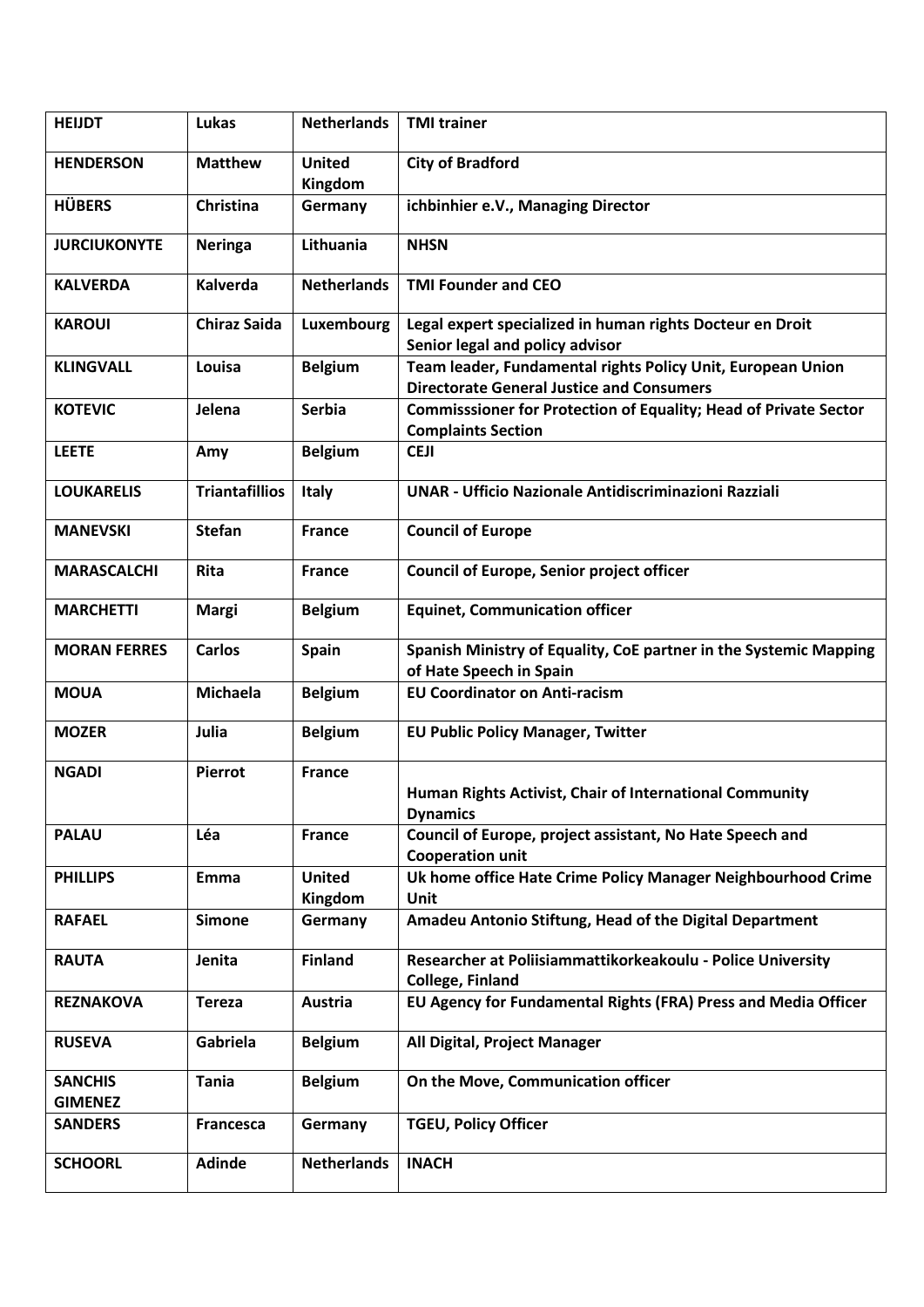| <b>HEIJDT</b>                    | Lukas                 | <b>Netherlands</b>       | <b>TMI trainer</b>                                                                                              |
|----------------------------------|-----------------------|--------------------------|-----------------------------------------------------------------------------------------------------------------|
| <b>HENDERSON</b>                 | <b>Matthew</b>        | <b>United</b><br>Kingdom | <b>City of Bradford</b>                                                                                         |
| <b>HÜBERS</b>                    | Christina             | Germany                  | ichbinhier e.V., Managing Director                                                                              |
| <b>JURCIUKONYTE</b>              | Neringa               | Lithuania                | <b>NHSN</b>                                                                                                     |
| <b>KALVERDA</b>                  | Kalverda              | <b>Netherlands</b>       | <b>TMI Founder and CEO</b>                                                                                      |
| <b>KAROUI</b>                    | <b>Chiraz Saida</b>   | Luxembourg               | Legal expert specialized in human rights Docteur en Droit<br>Senior legal and policy advisor                    |
| <b>KLINGVALL</b>                 | Louisa                | <b>Belgium</b>           | Team leader, Fundamental rights Policy Unit, European Union<br><b>Directorate General Justice and Consumers</b> |
| <b>KOTEVIC</b>                   | Jelena                | <b>Serbia</b>            | <b>Commisssioner for Protection of Equality; Head of Private Sector</b><br><b>Complaints Section</b>            |
| <b>LEETE</b>                     | Amy                   | <b>Belgium</b>           | <b>CEJI</b>                                                                                                     |
| <b>LOUKARELIS</b>                | <b>Triantafillios</b> | Italy                    | <b>UNAR - Ufficio Nazionale Antidiscriminazioni Razziali</b>                                                    |
| <b>MANEVSKI</b>                  | <b>Stefan</b>         | <b>France</b>            | <b>Council of Europe</b>                                                                                        |
| <b>MARASCALCHI</b>               | Rita                  | <b>France</b>            | Council of Europe, Senior project officer                                                                       |
| <b>MARCHETTI</b>                 | <b>Margi</b>          | <b>Belgium</b>           | <b>Equinet, Communication officer</b>                                                                           |
| <b>MORAN FERRES</b>              | <b>Carlos</b>         | <b>Spain</b>             | Spanish Ministry of Equality, CoE partner in the Systemic Mapping<br>of Hate Speech in Spain                    |
| <b>MOUA</b>                      | Michaela              | <b>Belgium</b>           | <b>EU Coordinator on Anti-racism</b>                                                                            |
| <b>MOZER</b>                     | Julia                 | <b>Belgium</b>           | <b>EU Public Policy Manager, Twitter</b>                                                                        |
| <b>NGADI</b>                     | <b>Pierrot</b>        | <b>France</b>            | Human Rights Activist, Chair of International Community<br><b>Dynamics</b>                                      |
| <b>PALAU</b>                     | Léa                   | <b>France</b>            | Council of Europe, project assistant, No Hate Speech and<br><b>Cooperation unit</b>                             |
| <b>PHILLIPS</b>                  | Emma                  | <b>United</b><br>Kingdom | Uk home office Hate Crime Policy Manager Neighbourhood Crime<br>Unit                                            |
| <b>RAFAEL</b>                    | <b>Simone</b>         | Germany                  | Amadeu Antonio Stiftung, Head of the Digital Department                                                         |
| <b>RAUTA</b>                     | Jenita                | <b>Finland</b>           | Researcher at Poliisiammattikorkeakoulu - Police University<br><b>College, Finland</b>                          |
| <b>REZNAKOVA</b>                 | <b>Tereza</b>         | <b>Austria</b>           | EU Agency for Fundamental Rights (FRA) Press and Media Officer                                                  |
| <b>RUSEVA</b>                    | Gabriela              | <b>Belgium</b>           | All Digital, Project Manager                                                                                    |
| <b>SANCHIS</b><br><b>GIMENEZ</b> | <b>Tania</b>          | <b>Belgium</b>           | On the Move, Communication officer                                                                              |
| <b>SANDERS</b>                   | Francesca             | Germany                  | <b>TGEU, Policy Officer</b>                                                                                     |
| <b>SCHOORL</b>                   | <b>Adinde</b>         | <b>Netherlands</b>       | <b>INACH</b>                                                                                                    |